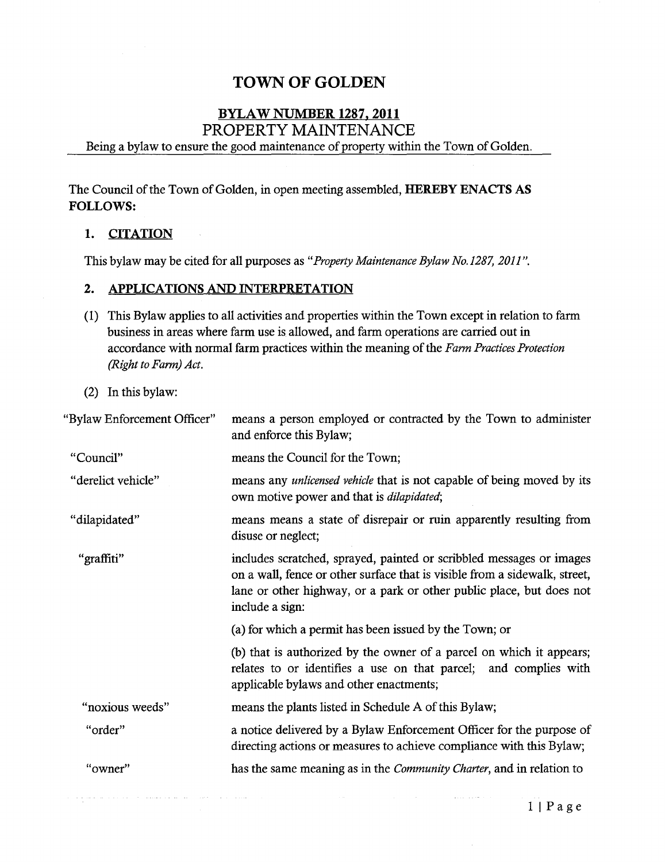## TOWN OF GOLDEN

# BYLAW NUMBER 1287, 2011

# PROPERTY MAINTENANCE

Being a bylaw to ensure the good maintenance of property within the Town of Golden.

The Council of the Town of Golden, in open meeting assembled, HEREBY ENACTS AS FOLLOWS:

#### 1. CITATION

This bylaw may be cited for all purposes as *"Property Maintenance Bylaw No.1287, 2011".* 

#### 2. APPLICATIONS AND INTERPRETATION

- (1) This Bylaw applies to all activities and properties within the Town except in relation to farm business in areas where farm use is allowed, and farm operations are carried out in accordance with normal farm practices within the meaning of the *Farm Practices Protection (Right to Farm) Act.*
- (2) In this bylaw:

is a small in the set of  $\alpha$  , we consider the size of  $\alpha$  , where  $\alpha$  , and  $\alpha$  -consider

| "Bylaw Enforcement Officer" | means a person employed or contracted by the Town to administer<br>and enforce this Bylaw;                                                                                                                                                    |
|-----------------------------|-----------------------------------------------------------------------------------------------------------------------------------------------------------------------------------------------------------------------------------------------|
| "Council"                   | means the Council for the Town;                                                                                                                                                                                                               |
| "derelict vehicle"          | means any <i>unlicensed vehicle</i> that is not capable of being moved by its<br>own motive power and that is <i>dilapidated</i> ;                                                                                                            |
| "dilapidated"               | means means a state of disrepair or ruin apparently resulting from<br>disuse or neglect;                                                                                                                                                      |
| "graffiti"                  | includes scratched, sprayed, painted or scribbled messages or images<br>on a wall, fence or other surface that is visible from a sidewalk, street,<br>lane or other highway, or a park or other public place, but does not<br>include a sign: |
|                             | (a) for which a permit has been issued by the Town; or                                                                                                                                                                                        |
|                             | (b) that is authorized by the owner of a parcel on which it appears;<br>relates to or identifies a use on that parcel; and complies with<br>applicable bylaws and other enactments;                                                           |
| "noxious weeds"             | means the plants listed in Schedule A of this Bylaw;                                                                                                                                                                                          |
| "order"                     | a notice delivered by a Bylaw Enforcement Officer for the purpose of<br>directing actions or measures to achieve compliance with this Bylaw;                                                                                                  |
| "owner"                     | has the same meaning as in the <i>Community Charter</i> , and in relation to                                                                                                                                                                  |
|                             |                                                                                                                                                                                                                                               |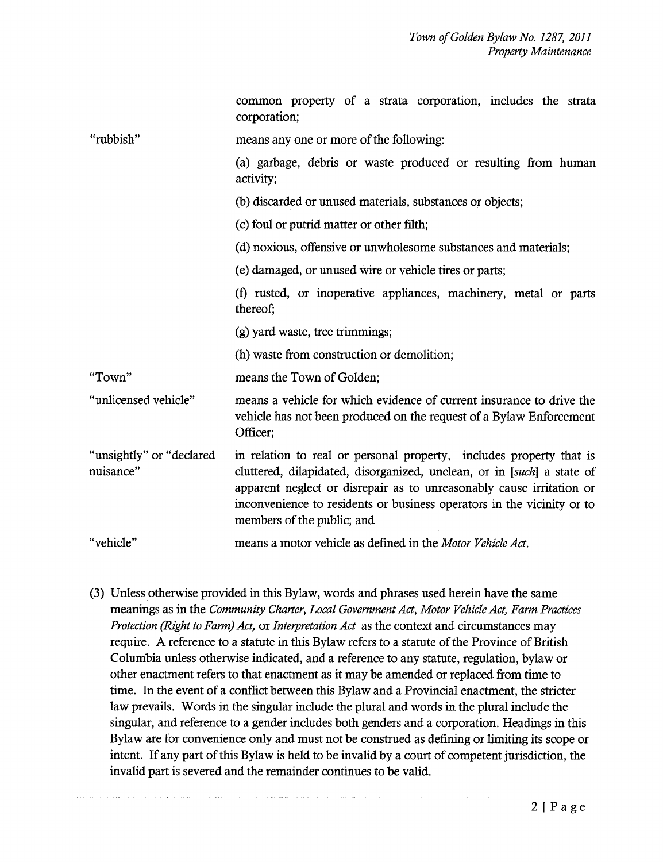|                                        | common property of a strata corporation, includes the strata<br>corporation;                                                                                                                                                                                                                                                  |  |  |  |
|----------------------------------------|-------------------------------------------------------------------------------------------------------------------------------------------------------------------------------------------------------------------------------------------------------------------------------------------------------------------------------|--|--|--|
| "rubbish"                              | means any one or more of the following:                                                                                                                                                                                                                                                                                       |  |  |  |
|                                        | (a) garbage, debris or waste produced or resulting from human<br>activity;                                                                                                                                                                                                                                                    |  |  |  |
|                                        | (b) discarded or unused materials, substances or objects;                                                                                                                                                                                                                                                                     |  |  |  |
|                                        | (c) foul or putrid matter or other filth;                                                                                                                                                                                                                                                                                     |  |  |  |
|                                        | (d) noxious, offensive or unwholesome substances and materials;                                                                                                                                                                                                                                                               |  |  |  |
|                                        | (e) damaged, or unused wire or vehicle tires or parts;                                                                                                                                                                                                                                                                        |  |  |  |
|                                        | (f) rusted, or inoperative appliances, machinery, metal or parts<br>thereof;                                                                                                                                                                                                                                                  |  |  |  |
|                                        | (g) yard waste, tree trimmings;                                                                                                                                                                                                                                                                                               |  |  |  |
|                                        | (h) waste from construction or demolition;                                                                                                                                                                                                                                                                                    |  |  |  |
| "Town"                                 | means the Town of Golden;                                                                                                                                                                                                                                                                                                     |  |  |  |
| "unlicensed vehicle"                   | means a vehicle for which evidence of current insurance to drive the<br>vehicle has not been produced on the request of a Bylaw Enforcement<br>Officer;                                                                                                                                                                       |  |  |  |
| "unsightly" or "declared"<br>nuisance" | in relation to real or personal property, includes property that is<br>cluttered, dilapidated, disorganized, unclean, or in [such] a state of<br>apparent neglect or disrepair as to unreasonably cause irritation or<br>inconvenience to residents or business operators in the vicinity or to<br>members of the public; and |  |  |  |
| "vehicle"                              | means a motor vehicle as defined in the Motor Vehicle Act.                                                                                                                                                                                                                                                                    |  |  |  |

(3) Unless otherwise provided in this Bylaw, words and phrases used herein have the same meanings as in the *Community Charter, Local Government Act, Motor Vehicle Act, Farm Practices Protection (Right to Farm) Act,* or *Interpretation Act* as the context and circumstances may require. A reference to a statute in this Bylaw refers to a statute of the Province of British Columbia unless otherwise indicated, and a reference to any statute, regulation, bylaw or other enactment refers to that enactment as it may be amended or replaced from time to time. In the event of a conflict between this Bylaw and a Provincial enactment, the stricter law prevails. Words in the singular include the plural and words in the plural include the singular, and reference to a gender includes both genders and a corporation. Headings in this Bylaw are for convenience only and must not be construed as defining or limiting its scope or intent. If any part of this Bylaw is held to be invalid by a court of competent jurisdiction, the invalid part is severed and the remainder continues to be valid.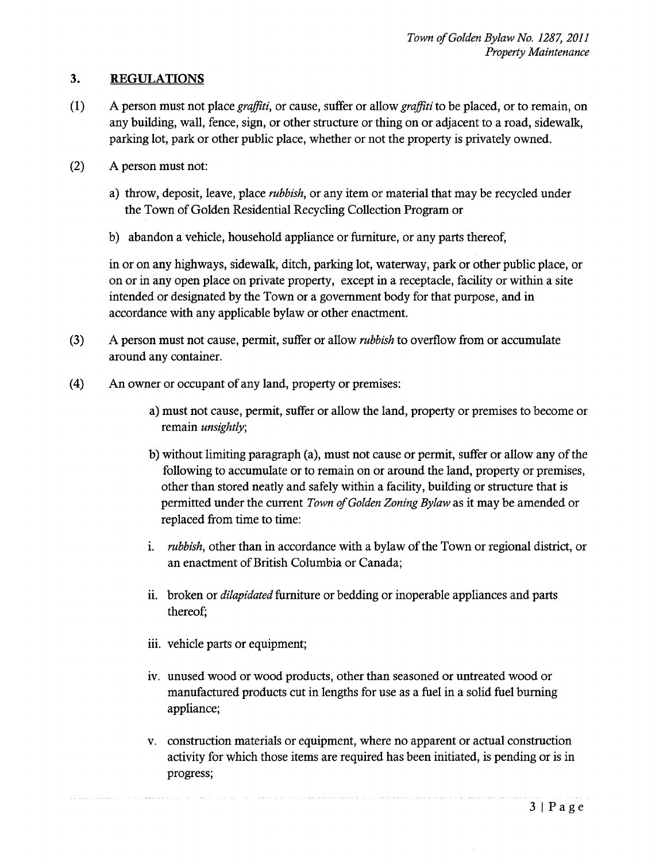## **3. REGULATIONS**

- (1) A person must not place *graffiti,* or cause, suffer or allow *graffiti* to be placed, or to remain, on any building, wall, fence, sign, or other structure or thing on or adjacent to a road, sidewalk, parking lot, park or other public place, whether or not the property is privately owned.
- (2) A person must not:
	- a) throw, deposit, leave, place *rubbish,* or any item or material that may be recycled under the Town of Golden Residential Recycling Collection Program or
	- b) abandon a vehicle, household appliance or furniture, or any parts thereof,

in or on any highways, sidewalk, ditch, parking lot, waterway, park or other public place, or on or in any open place on private property, except in a receptacle, facility or within a site intended or designated by the Town or a government body for that purpose, and in accordance with any applicable bylaw or other enactment.

- (3) A person must not cause, permit, suffer or allow *rubbish* to overflow from or accumulate around any container.
- (4) An owner or occupant of any land, property or premises:
	- a) must not cause, permit, suffer or allow the land, property or premises to become or remain *unsightly;*
	- b) without limiting paragraph (a), must not cause or permit, suffer or allow any of the following to accumulate or to remain on or around the land, property or premises, other than stored neatly and safely within a facility, building or structure that is permitted under the current *Town of Golden Zoning Bylaw* as it may be amended or replaced from time to time:
	- 1. *rubbish,* other than in accordance with a bylaw of the Town or regional district, or an enactment of British Columbia or Canada;
	- ii. broken or *dilapidated* furniture or bedding or inoperable appliances and parts thereof;
	- iii. vehicle parts or equipment;
	- iv. unused wood or wood products, other than seasoned or untreated wood or manufactured products cut in lengths for use as a fuel in a solid fuel burning appliance;
	- v. construction materials or equipment, where no apparent or actual construction activity for which those items are required has been initiated, is pending or is in progress;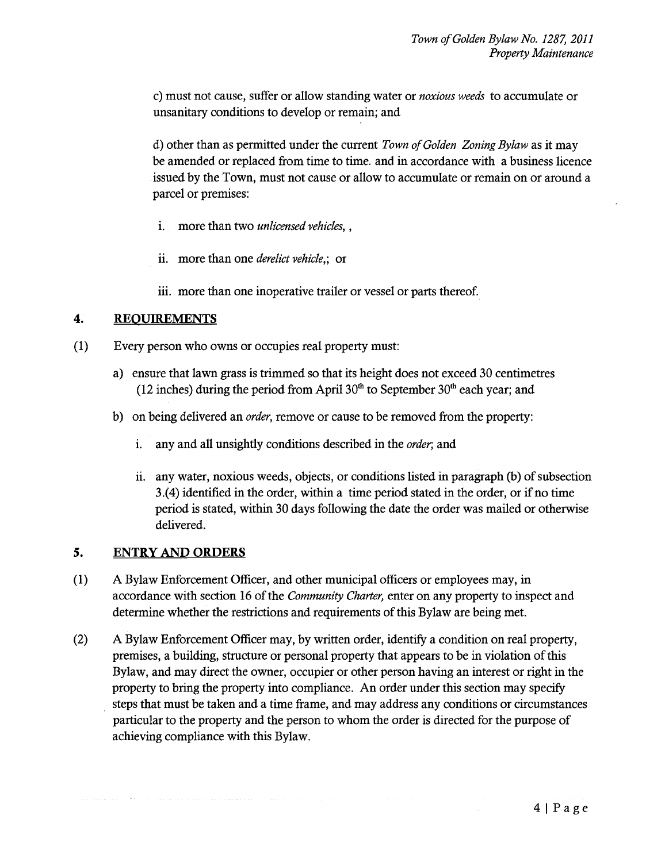c) must not cause, suffer or allow standing water or *noxious weeds* to accumulate or unsanitary conditions to develop or remain; and

d) other than as permitted under the current *Town of Golden Zoning Bylaw* as it may be amended or replaced from time to time. and in accordance with a business licence issued by the Town, must not cause or allow to accumulate or remain on or around a parcel or premises:

- 1. more than two *unlicensed vehicles,* ,
- ii. more than one *derelict vehicle*,; or

iii. more than one inoperative trailer or vessel or parts thereof.

## **4. REQUIREMENTS**

- (1) Every person who owns or occupies real property must:
	- a) ensure that lawn grass is trimmed so that its height does not exceed 30 centimetres (12 inches) during the period from April  $30<sup>th</sup>$  to September  $30<sup>th</sup>$  each year; and
	- b) on being delivered an *order,* remove or cause to be removed from the property:
		- 1. any and all unsightly conditions described in the *order;* and
		- ii. any water, noxious weeds, objects, or conditions listed in paragraph (b) of subsection 3.(4) identified in the order, within a time period stated in the order, or if no time period is stated, within 30 days following the date the order was mailed or otherwise delivered.

### **5. ENTRY AND ORDERS**

المداوية والمستحدث والمتحدث المتعارف والمالي

- (1) A Bylaw Enforcement Officer, and other municipal officers or employees may, in accordance with section 16 of the *Community Charter,* enter on any property to inspect and determine whether the restrictions and requirements of this Bylaw are being met.
- (2) A Bylaw Enforcement Officer may, by written order, identify a condition on real property, premises, a building, structure or personal property that appears to be in violation of this Bylaw, and may direct the owner, occupier or other person having an interest or right in the property to bring the property into compliance. An order under this section may specify steps that must be taken and a time frame, and may address any conditions or circumstances particular to the property and the person to whom the order is directed for the purpose of achieving compliance with this Bylaw.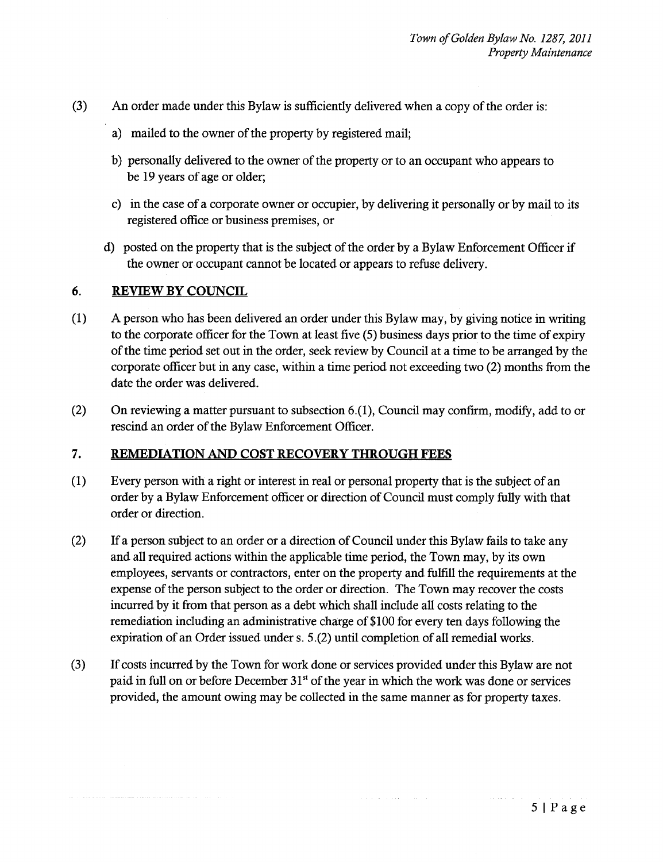- (3) An order made under this Bylaw is sufficiently delivered when a copy of the order is:
	- a) mailed to the owner of the property by registered mail;
	- b) personally delivered to the owner of the property or to an occupant who appears to be 19 years of age or older;
	- c) in the case of a corporate owner or occupier, by delivering it personally or by mail to its registered office or business premises, or
	- d) posted on the property that is the subject of the order by a Bylaw Enforcement Officer if the owner or occupant cannot be located or appears to refuse delivery.

#### **6. REVIEW BY COUNCIL**

and party companions report incorporation in the correlation

- (1) A person who has been delivered an order under this Bylaw may, by giving notice in writing to the corporate officer for the Town at least five (5) business days prior to the time of expiry of the time period set out in the order, seek review by Council at a time to be arranged by the corporate officer but in any case, within a time period not exceeding two (2) months from the date the order was delivered.
- (2) On reviewing a matter pursuant to subsection 6.(1), Council may confirm, modify, add to or rescind an order of the Bylaw Enforcement Officer.

### **7. REMEDIATION AND COST RECOVERY THROUGH FEES**

- (1) Every person with a right or interest in real or personal property that is the subject of an order by a Bylaw Enforcement officer or direction of Council must comply fully with that order or direction.
- (2) If a person subject to an order or a direction of Council under this Bylaw fails to take any and all required actions within the applicable time period, the Town may, by its own employees, servants or contractors, enter on the property and fulfill the requirements at the expense of the person subject to the order or direction. The Town may recover the costs incurred by it from that person as a debt which shall include all costs relating to the remediation including an administrative charge of \$100 for every ten days following the expiration of an Order issued under s. 5.(2) until completion of all remedial works.
- (3) If costs incurred by the Town for work done or services provided under this Bylaw are not paid in full on or before December 31<sup>st</sup> of the year in which the work was done or services provided, the amount owing may be collected in the same manner as for property taxes.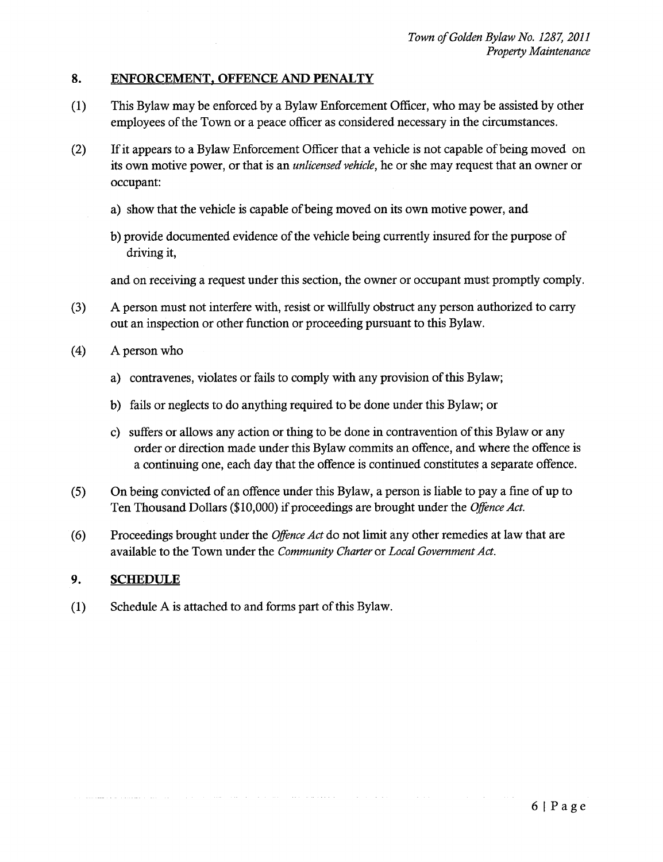## **8. ENFORCEMENT, OFFENCE AND PENALTY**

- (1) This Bylaw may be enforced by a Bylaw Enforcement Officer, who may be assisted by other employees of the Town or a peace officer as considered necessary in the circumstances.
- (2) If it appears to a Bylaw Enforcement Officer that a vehicle is not capable of being moved on its own motive power, or that is an *unlicensed vehicle*, he or she may request that an owner or occupant:
	- a) show that the vehicle is capable of being moved on its own motive power, and
	- b) provide documented evidence of the vehicle being currently insured for the purpose of driving it,

and on receiving a request under this section, the owner or occupant must promptly comply.

- (3) A person must not interfere with, resist or willfully obstruct any person authorized to carry out an inspection or other function or proceeding pursuant to this Bylaw.
- (4) A person who
	- a) contravenes, violates or fails to comply with any provision of this Bylaw;
	- b) fails or neglects to do anything required to be done under this Bylaw; or
	- c) suffers or allows any action or thing to be done in contravention of this Bylaw or any order or direction made under this Bylaw commits an offence, and where the offence is a continuing one, each day that the offence is continued constitutes a separate offence.
- (5) On being convicted of an offence under this Bylaw, a person is liable to pay a fine of up to Ten Thousand Dollars (\$10,000) if proceedings are brought under the *Offence Act.*
- (6) Proceedings brought under the *Offence Act* do not limit any other remedies at law that are available to the Town under the *Communt'ty Charter* or *Local Government Act.*

## **9. SCHEDULE**

(1) Schedule A is attached to and forms part of this Bylaw.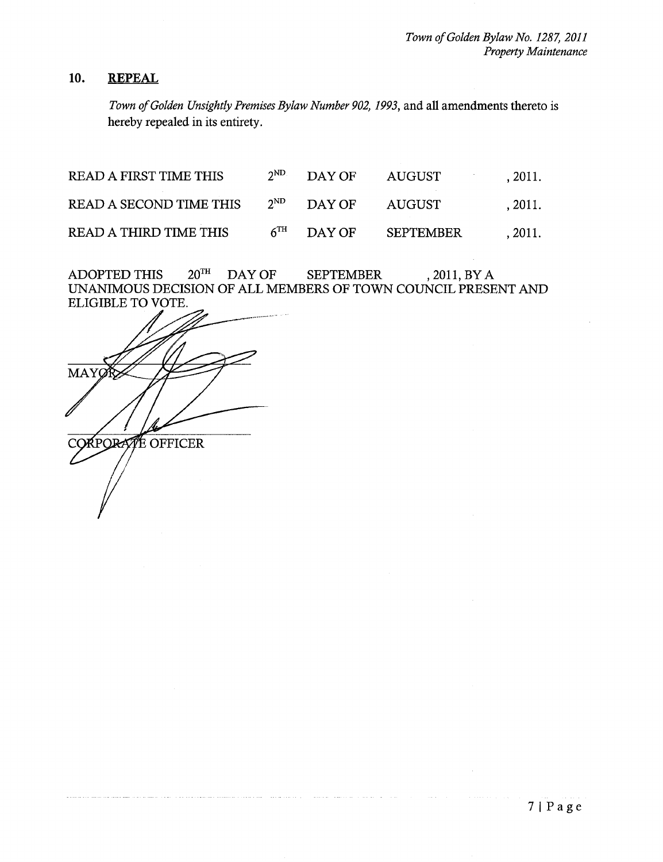## **10. REPEAL**

*Town of Golden Unsightly Premises Bylaw Number 902, 1993,* and all amendments thereto is hereby repealed in its entirety.

| <b>READ A FIRST TIME THIS</b> |          | $2^{\text{ND}}$ DAY OF | AUGUST    | , 2011. |
|-------------------------------|----------|------------------------|-----------|---------|
| READ A SECOND TIME THIS       | $2^{ND}$ | DAY OF                 | AUGUST    | . 2011. |
| <b>READ A THIRD TIME THIS</b> |          | $6^{\text{TH}}$ DAY OF | SEPTEMBER | . 2011. |

ADOPTED THIS  $20^{TH}$  DAY OF SEPTEMBER , 2011, BY A UNANIMOUS DECISION OF ALL MEMBERS OF TOWN COUNCIL PRESENT AND ELIGIBLE TO VOTE.

**MAY RPORATE OFFICER**  $\bigg\}$